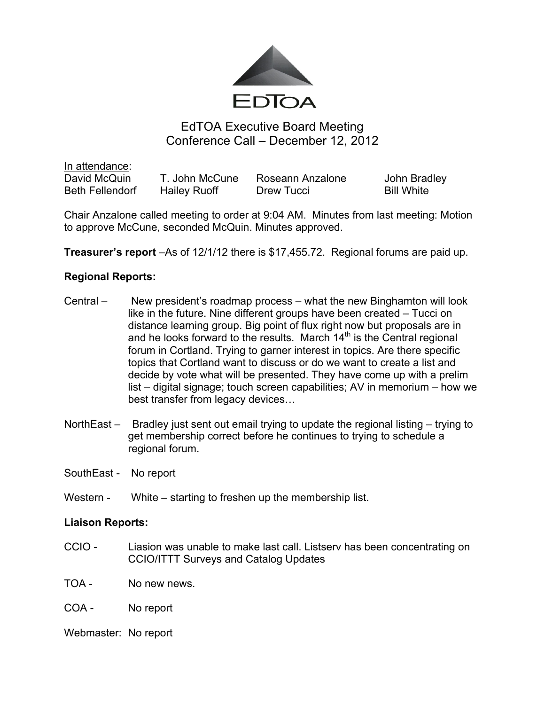

# EdTOA Executive Board Meeting Conference Call – December 12, 2012

In attendance: David McQuin T. John McCune Roseann Anzalone John Bradley Beth Fellendorf Hailey Ruoff Drew Tucci Bill White

Chair Anzalone called meeting to order at 9:04 AM. Minutes from last meeting: Motion to approve McCune, seconded McQuin. Minutes approved.

**Treasurer's report** –As of 12/1/12 there is \$17,455.72. Regional forums are paid up.

## **Regional Reports:**

- Central New president's roadmap process what the new Binghamton will look like in the future. Nine different groups have been created – Tucci on distance learning group. Big point of flux right now but proposals are in and he looks forward to the results. March  $14<sup>th</sup>$  is the Central regional forum in Cortland. Trying to garner interest in topics. Are there specific topics that Cortland want to discuss or do we want to create a list and decide by vote what will be presented. They have come up with a prelim list – digital signage; touch screen capabilities; AV in memorium – how we best transfer from legacy devices…
- NorthEast Bradley just sent out email trying to update the regional listing trying to get membership correct before he continues to trying to schedule a regional forum.
- SouthEast No report
- Western White starting to freshen up the membership list.

#### **Liaison Reports:**

- CCIO Liasion was unable to make last call. Listserv has been concentrating on CCIO/ITTT Surveys and Catalog Updates
- TOA No new news.
- COA No report

Webmaster: No report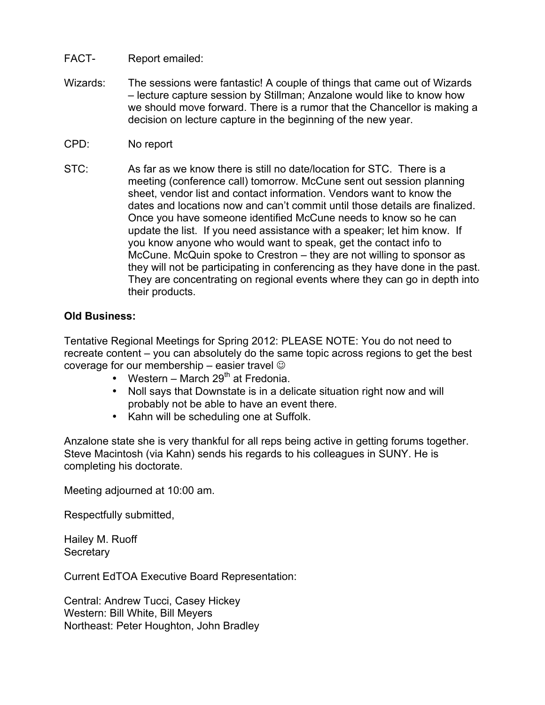# FACT- Report emailed:

- Wizards: The sessions were fantastic! A couple of things that came out of Wizards – lecture capture session by Stillman; Anzalone would like to know how we should move forward. There is a rumor that the Chancellor is making a decision on lecture capture in the beginning of the new year.
- CPD: No report
- STC: As far as we know there is still no date/location for STC. There is a meeting (conference call) tomorrow. McCune sent out session planning sheet, vendor list and contact information. Vendors want to know the dates and locations now and can't commit until those details are finalized. Once you have someone identified McCune needs to know so he can update the list. If you need assistance with a speaker; let him know. If you know anyone who would want to speak, get the contact info to McCune. McQuin spoke to Crestron – they are not willing to sponsor as they will not be participating in conferencing as they have done in the past. They are concentrating on regional events where they can go in depth into their products.

## **Old Business:**

Tentative Regional Meetings for Spring 2012: PLEASE NOTE: You do not need to recreate content – you can absolutely do the same topic across regions to get the best coverage for our membership – easier travel  $\odot$ 

- Western March 29<sup>th</sup> at Fredonia
- Noll says that Downstate is in a delicate situation right now and will probably not be able to have an event there.
- Kahn will be scheduling one at Suffolk.

Anzalone state she is very thankful for all reps being active in getting forums together. Steve Macintosh (via Kahn) sends his regards to his colleagues in SUNY. He is completing his doctorate.

Meeting adjourned at 10:00 am.

Respectfully submitted,

Hailey M. Ruoff **Secretary** 

Current EdTOA Executive Board Representation:

Central: Andrew Tucci, Casey Hickey Western: Bill White, Bill Meyers Northeast: Peter Houghton, John Bradley